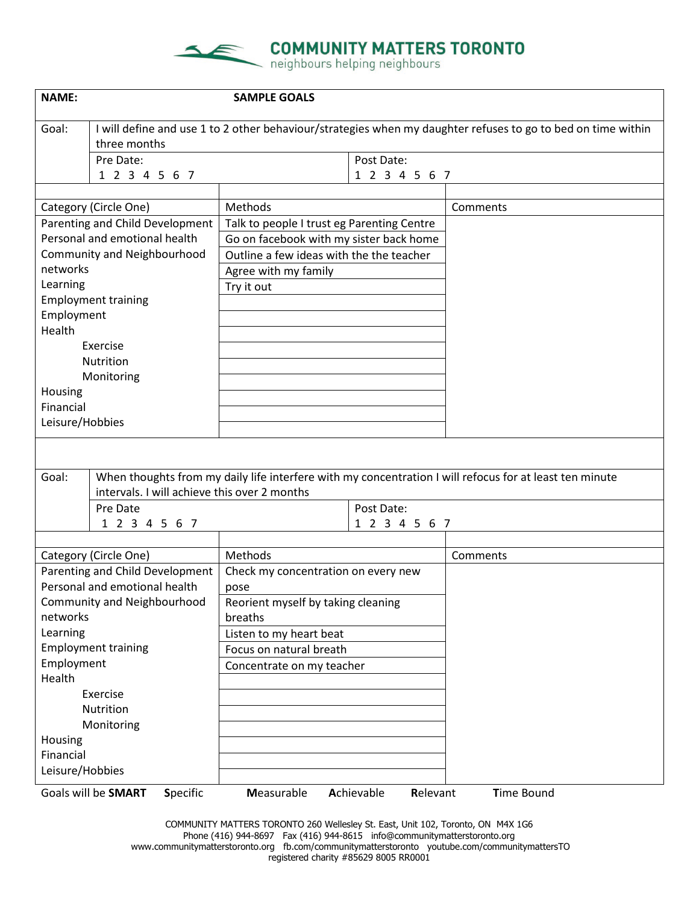

neighbours helping neighbours

| <b>NAME:</b>                                                                                                                                            |                                 | <b>SAMPLE GOALS</b>                        |                        |            |  |  |
|---------------------------------------------------------------------------------------------------------------------------------------------------------|---------------------------------|--------------------------------------------|------------------------|------------|--|--|
| I will define and use 1 to 2 other behaviour/strategies when my daughter refuses to go to bed on time within<br>Goal:                                   |                                 |                                            |                        |            |  |  |
|                                                                                                                                                         | three months                    |                                            |                        |            |  |  |
|                                                                                                                                                         | Pre Date:                       |                                            | Post Date:             |            |  |  |
|                                                                                                                                                         | 1 2 3 4 5 6 7                   | 1 2 3 4 5 6 7                              |                        |            |  |  |
|                                                                                                                                                         |                                 |                                            |                        |            |  |  |
| Category (Circle One)                                                                                                                                   |                                 | Methods                                    |                        | Comments   |  |  |
| Parenting and Child Development                                                                                                                         |                                 | Talk to people I trust eg Parenting Centre |                        |            |  |  |
| Personal and emotional health                                                                                                                           |                                 | Go on facebook with my sister back home    |                        |            |  |  |
| Community and Neighbourhood                                                                                                                             |                                 | Outline a few ideas with the the teacher   |                        |            |  |  |
| networks                                                                                                                                                |                                 | Agree with my family                       |                        |            |  |  |
| Learning                                                                                                                                                |                                 | Try it out                                 |                        |            |  |  |
|                                                                                                                                                         | <b>Employment training</b>      |                                            |                        |            |  |  |
| Employment                                                                                                                                              |                                 |                                            |                        |            |  |  |
| Health                                                                                                                                                  |                                 |                                            |                        |            |  |  |
|                                                                                                                                                         | Exercise                        |                                            |                        |            |  |  |
|                                                                                                                                                         | Nutrition                       |                                            |                        |            |  |  |
|                                                                                                                                                         | Monitoring                      |                                            |                        |            |  |  |
| Housing                                                                                                                                                 |                                 |                                            |                        |            |  |  |
| Financial                                                                                                                                               |                                 |                                            |                        |            |  |  |
| Leisure/Hobbies                                                                                                                                         |                                 |                                            |                        |            |  |  |
|                                                                                                                                                         |                                 |                                            |                        |            |  |  |
|                                                                                                                                                         |                                 |                                            |                        |            |  |  |
| Goal:                                                                                                                                                   |                                 |                                            |                        |            |  |  |
| When thoughts from my daily life interfere with my concentration I will refocus for at least ten minute<br>intervals. I will achieve this over 2 months |                                 |                                            |                        |            |  |  |
| Pre Date                                                                                                                                                |                                 | Post Date:                                 |                        |            |  |  |
| 1 2 3 4 5 6 7                                                                                                                                           |                                 | 1 2 3 4 5 6 7                              |                        |            |  |  |
|                                                                                                                                                         |                                 |                                            |                        |            |  |  |
| Category (Circle One)                                                                                                                                   |                                 | Methods                                    |                        | Comments   |  |  |
| Parenting and Child Development                                                                                                                         |                                 | Check my concentration on every new        |                        |            |  |  |
| Personal and emotional health                                                                                                                           |                                 | pose                                       |                        |            |  |  |
| Community and Neighbourhood                                                                                                                             |                                 | Reorient myself by taking cleaning         |                        |            |  |  |
| networks                                                                                                                                                |                                 | breaths                                    |                        |            |  |  |
| Learning                                                                                                                                                |                                 | Listen to my heart beat                    |                        |            |  |  |
| <b>Employment training</b>                                                                                                                              |                                 | Focus on natural breath                    |                        |            |  |  |
| Employment                                                                                                                                              |                                 | Concentrate on my teacher                  |                        |            |  |  |
| Health                                                                                                                                                  |                                 |                                            |                        |            |  |  |
| Exercise                                                                                                                                                |                                 |                                            |                        |            |  |  |
| Nutrition                                                                                                                                               |                                 |                                            |                        |            |  |  |
| Monitoring                                                                                                                                              |                                 |                                            |                        |            |  |  |
| Housing                                                                                                                                                 |                                 |                                            |                        |            |  |  |
| Financial                                                                                                                                               |                                 |                                            |                        |            |  |  |
| Leisure/Hobbies                                                                                                                                         |                                 |                                            |                        |            |  |  |
|                                                                                                                                                         | Goals will be SMART<br>Specific | Measurable                                 | Achievable<br>Relevant | Time Bound |  |  |